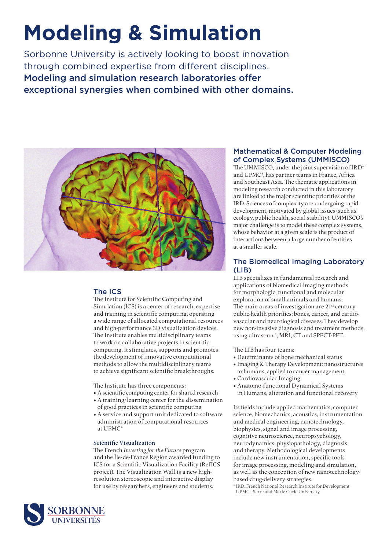# **Modeling & Simulation**

Sorbonne University is actively looking to boost innovation through combined expertise from different disciplines. Modeling and simulation research laboratories offer exceptional synergies when combined with other domains.



## The ICS

The Institute for Scientific Computing and Simulation (ICS) is a center of research, expertise and training in scientific computing, operating a wide range of allocated computational resources and high-performance 3D visualization devices. The Institute enables multidisciplinary teams to work on collaborative projects in scientific computing. It stimulates, supports and promotes the development of innovative computational methods to allow the multidisciplinary teams to achieve significant scientific breakthroughs.

The Institute has three components:

- A scientific computing center for shared research
- A training/learning center for the dissemination of good practices in scientific computing
- A service and support unit dedicated to software administration of computational resources at UPMC\*

## Scientific Visualization

The French *Investing for the Future* program and the Île-de-France Region awarded funding to ICS for a Scientific Visualization Facility (RefICS project). The Visualization Wall is a new highresolution stereoscopic and interactive display for use by researchers, engineers and students.

## Mathematical & Computer Modeling of Complex Systems (UMMISCO)

The UMMISCO, under the joint supervision of IRD\* and UPMC\*, has partner teams in France, Africa and Southeast Asia. The thematic applications in modeling research conducted in this laboratory are linked to the major scientific priorities of the IRD. Sciences of complexity are undergoing rapid development, motivated by global issues (such as ecology, public health, social stability). UMMISCO's major challenge is to model these complex systems, whose behavior at a given scale is the product of interactions between a large number of entities at a smaller scale.

## The Biomedical Imaging Laboratory (LIB)

LIB specializes in fundamental research and applications of biomedical imaging methods for morphologic, functional and molecular exploration of small animals and humans. The main areas of investigation are  $21<sup>st</sup>$  century public-health priorities: bones, cancer, and cardiovascular and neurological diseases. They develop new non-invasive diagnosis and treatment methods, using ultrasound, MRI, CT and SPECT-PET.

The LIB has four teams:

- Determinants of bone mechanical status
- Imaging & Therapy Development: nanostructures to humans, applied to cancer management
- Cardiovascular Imaging
- Anatomo-functional Dynamical Systems in Humans, alteration and functional recovery

Its fields include applied mathematics, computer science, biomechanics, acoustics, instrumentation and medical engineering, nanotechnology, biophysics, signal and image processing, cognitive neuroscience, neuropsychology, neurodynamics, physiopathology, diagnosis and therapy. Methodological developments include new instrumentation, specific tools for image processing, modeling and simulation, as well as the conception of new nanotechnologybased drug-delivery strategies.

\* IRD: French National Research Institute for Development UPMC: Pierre and Marie Curie University